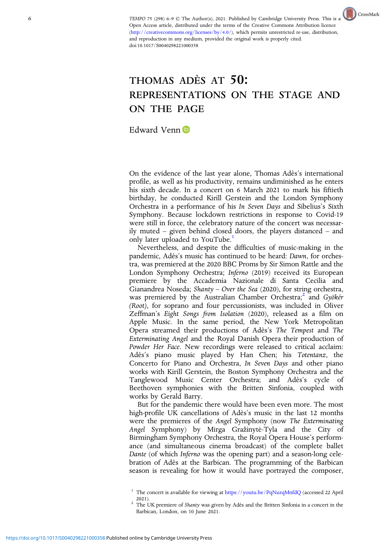TEMPO 75 (298) 6–9 © The Author(s), 2021. Published by Cambridge U[n](http://crossmark.crossref.org/dialog?doi=https://doi.org/10.1017/S0040298221000358&domain=pdf)iversity Press. This is an CrossMark Open Access article, distributed under the terms of the Creative Commons Attribution licence [\(http://creativecommons.org/licenses/by/4.0/](http://creativecommons.org/licenses/by/4.0/)), which permits unrestricted re-use, distribution, and reproduction in any medium, provided the original work is properly cited. doi:10.1017/S0040298221000358

## THOMAS ADÈS AT 50: REPRESENTATIONS ON THE STAGE AND ON THE PAGE

Edward Venn

On the evidence of the last year alone, Thomas Adès's international profile, as well as his productivity, remains undiminished as he enters his sixth decade. In a concert on 6 March 2021 to mark his fiftieth birthday, he conducted Kirill Gerstein and the London Symphony Orchestra in a performance of his In Seven Days and Sibelius's Sixth Symphony. Because lockdown restrictions in response to Covid-19 were still in force, the celebratory nature of the concert was necessarily muted – given behind closed doors, the players distanced – and only later uploaded to YouTube.<sup>1</sup>

Nevertheless, and despite the difficulties of music-making in the pandemic, Adès's music has continued to be heard: Dawn, for orchestra, was premiered at the 2020 BBC Proms by Sir Simon Rattle and the London Symphony Orchestra; Inferno (2019) received its European premiere by the Accademia Nazionale di Santa Cecilia and Gianandrea Noseda; Shanty – Over the Sea (2020), for string orchestra, was premiered by the Australian Chamber Orchestra;<sup>2</sup> and Gyökér (Root), for soprano and four percussionists, was included in Oliver Zeffman's Eight Songs from Isolation (2020), released as a film on Apple Music. In the same period, the New York Metropolitan Opera streamed their productions of Adès's The Tempest and The Exterminating Angel and the Royal Danish Opera their production of Powder Her Face. New recordings were released to critical acclaim: Adès's piano music played by Han Chen; his Totentanz, the Concerto for Piano and Orchestra, In Seven Days and other piano works with Kirill Gerstein, the Boston Symphony Orchestra and the Tanglewood Music Center Orchestra; and Adès's cycle of Beethoven symphonies with the Britten Sinfonia, coupled with works by Gerald Barry.

But for the pandemic there would have been even more. The most high-profile UK cancellations of Adès's music in the last 12 months were the premieres of the Angel Symphony (now The Exterminating Angel Symphony) by Mirga Gražinytė -Tyla and the City of Birmingham Symphony Orchestra, the Royal Opera House's performance (and simultaneous cinema broadcast) of the complete ballet Dante (of which Inferno was the opening part) and a season-long celebration of Adès at the Barbican. The programming of the Barbican season is revealing for how it would have portrayed the composer,

<sup>&</sup>lt;sup>1</sup> The concert is available for viewing at <https://youtu.be/PqNurqMnfdQ> (accessed 22 April

<sup>2021). &</sup>lt;sup>2</sup> The UK premiere of *Shanty* was given by Adès and the Britten Sinfonia in a concert in the Barbican, London, on 10 June 2021.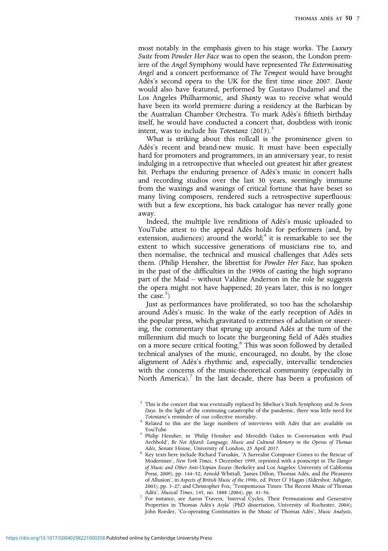most notably in the emphasis given to his stage works. The Luxury Suite from Powder Her Face was to open the season, the London premiere of the Angel Symphony would have represented The Exterminating Angel and a concert performance of The Tempest would have brought Adès's second opera to the UK for the first time since 2007. Dante would also have featured, performed by Gustavo Dudamel and the Los Angeles Philharmonic, and Shanty was to receive what would have been its world premiere during a residency at the Barbican by the Australian Chamber Orchestra. To mark Adès's fiftieth birthday itself, he would have conducted a concert that, doubtless with ironic intent, was to include his Totentanz  $(2013)$ .<sup>3</sup>

What is striking about this rollcall is the prominence given to Adès's recent and brand-new music. It must have been especially hard for promoters and programmers, in an anniversary year, to resist indulging in a retrospective that wheeled out greatest hit after greatest hit. Perhaps the enduring presence of Adès's music in concert halls and recording studios over the last 30 years, seemingly immune from the waxings and wanings of critical fortune that have beset so many living composers, rendered such a retrospective superfluous: with but a few exceptions, his back catalogue has never really gone away.

Indeed, the multiple live renditions of Adès's music uploaded to YouTube attest to the appeal Adès holds for performers (and, by extension, audiences) around the world;<sup>4</sup> it is remarkable to see the extent to which successive generations of musicians rise to, and then normalise, the technical and musical challenges that Adès sets them. (Philip Hensher, the librettist for Powder Her Face, has spoken in the past of the difficulties in the 1990s of casting the high soprano part of the Maid – without Valdine Anderson in the role he suggests the opera might not have happened; 20 years later, this is no longer the case.<sup>5</sup>)

Just as performances have proliferated, so too has the scholarship around Adès's music. In the wake of the early reception of Adès in the popular press, which gravitated to extremes of adulation or sneering, the commentary that sprung up around Adès at the turn of the millennium did much to locate the burgeoning field of Adès studies on a more secure critical footing.<sup>6</sup> This was soon followed by detailed technical analyses of the music, encouraged, no doubt, by the close alignment of Adès's rhythmic and, especially, intervallic tendencies with the concerns of the music-theoretical community (especially in North America).<sup>7</sup> In the last decade, there has been a profusion of

 $3$  This is the concert that was eventually replaced by Sibelius's Sixth Symphony and In Seven Days. In the light of the continuing catastrophe of the pandemic, there was little need for Totentanz's reminder of our collective mortality.

 $^4$  Related to this are the large numbers of interviews with Adès that are available on YouTube

<sup>&</sup>lt;sup>5</sup> Philip Hensher, in 'Philip Hensher and Meredith Oakes in Conversation with Paul Archbold', Be Not Afeard: Language, Music and Cultural Memory in the Operas of Thomas Adès, Senate House, University of London, 25 April 2017.

Adès, Senate House, University of London, 25 April 2017. 6 Key texts here include Richard Taruskin, 'A Surrealist Composer Comes to the Rescue of Modernism', New York Times, 5 December 1999, reprinted with a postscript in The Danger of Music and Other Anti-Utopian Essays (Berkeley and Los Angeles: University of California Press, 2009), pp. 144–52; Arnold Whittall, 'James Dillon, Thomas Adès, and the Pleasures of Allusion', in Aspects of British Music of the 1990s, ed. Peter O' Hagan (Aldershot: Ashgate, 2003), pp. 3–27; and Christopher Fox, 'Tempestuous Times: The Recent Music of Thomas Adès', Musical Times, 145, no. 1888 (2004), pp. 41–56. <sup>7</sup> For instance, see Aaron Travers, 'Interval Cycles, Their Permutations and Generative

Properties in Thomas Adès's Asyla' (PhD dissertation, University of Rochester, 2004); John Roeder, 'Co-operating Continuities in the Music of Thomas Adès', Music Analysis,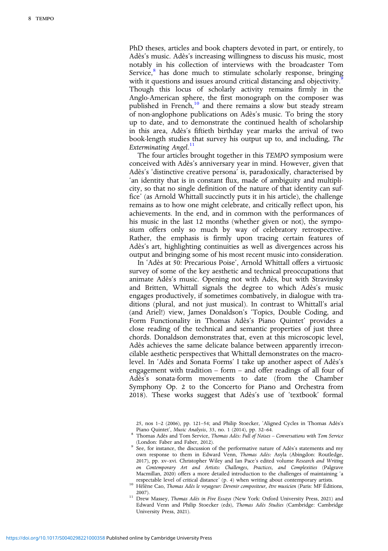PhD theses, articles and book chapters devoted in part, or entirely, to Adès's music. Adès's increasing willingness to discuss his music, most notably in his collection of interviews with the broadcaster Tom Service, $8$  has done much to stimulate scholarly response, bringing with it questions and issues around critical distancing and objectivity.<sup>9</sup> Though this locus of scholarly activity remains firmly in the Anglo-American sphere, the first monograph on the composer was published in French,<sup>10</sup> and there remains a slow but steady stream of non-anglophone publications on Adès's music. To bring the story up to date, and to demonstrate the continued health of scholarship in this area, Adès's fiftieth birthday year marks the arrival of two book-length studies that survey his output up to, and including, The Exterminating Angel.<sup>11</sup>

The four articles brought together in this TEMPO symposium were conceived with Adès's anniversary year in mind. However, given that Adès's 'distinctive creative persona' is, paradoxically, characterised by 'an identity that is in constant flux, made of ambiguity and multiplicity, so that no single definition of the nature of that identity can suffice' (as Arnold Whittall succinctly puts it in his article), the challenge remains as to how one might celebrate, and critically reflect upon, his achievements. In the end, and in common with the performances of his music in the last 12 months (whether given or not), the symposium offers only so much by way of celebratory retrospective. Rather, the emphasis is firmly upon tracing certain features of Adès's art, highlighting continuities as well as divergences across his output and bringing some of his most recent music into consideration.

In 'Adès at 50: Precarious Poise', Arnold Whittall offers a virtuosic survey of some of the key aesthetic and technical preoccupations that animate Adès's music. Opening not with Adès, but with Stravinsky and Britten, Whittall signals the degree to which Adès's music engages productively, if sometimes combatively, in dialogue with traditions (plural, and not just musical). In contrast to Whittall's arial (and Ariel!) view, James Donaldson's 'Topics, Double Coding, and Form Functionality in Thomas Adès's Piano Quintet' provides a close reading of the technical and semantic properties of just three chords. Donaldson demonstrates that, even at this microscopic level, Adès achieves the same delicate balance between apparently irreconcilable aesthetic perspectives that Whittall demonstrates on the macrolevel. In 'Adès and Sonata Forms' I take up another aspect of Adès's engagement with tradition – form – and offer readings of all four of Adès's sonata-form movements to date (from the Chamber Symphony Op. 2 to the Concerto for Piano and Orchestra from 2018). These works suggest that Adès's use of 'textbook' formal

25, nos 1–2 (2006), pp. 121–54; and Philip Stoecker, 'Aligned Cycles in Thomas Adès's

<sup>10</sup> Hélène Cao, Thomas Adès le voyageur: Devenir compositeur, être musicien (Paris: MF Éditions,

2007). 11 Drew Massey, *Thomas Adès in Five Essays* (New York: Oxford University Press, 2021) and Edward Venn and Philip Stoecker (eds), Thomas Adès Studies (Cambridge: Cambridge University Press, 2021).

Piano Quincet, Music Commission, Thomas Adès: Full of Noises – Conversations with Tom Service<br>(London: Faber and Tom Service, Thomas Adès: Full of Noises – Conversations with Tom Service

<sup>&</sup>lt;sup>9</sup> See, for instance, the discussion of the performative nature of Adès's statements and my own response to them in Edward Venn, Thomas Adès: Asyla (Abingdon: Routledge, 2017), pp. xv–xvi. Christopher Wiley and Ian Pace's edited volume Research and Writing on Contemporary Art and Artists: Challenges, Practices, and Complexities (Palgrave Macmillan, 2020) offers a more detailed introduction to the challenges of maintaining 'a respectable level of critical distance' (p. 4) when writing about contemporary artists.